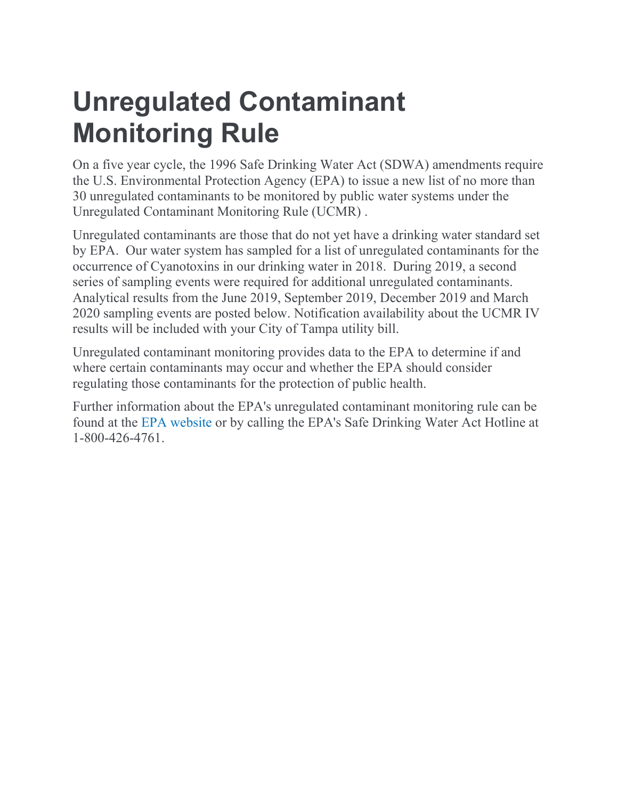## **Unregulated Contaminant Monitoring Rule**

On a five year cycle, the 1996 Safe Drinking Water Act (SDWA) amendments require the U.S. Environmental Protection Agency (EPA) to issue a new list of no more than 30 unregulated contaminants to be monitored by public water systems under the Unregulated Contaminant Monitoring Rule (UCMR) .

Unregulated contaminants are those that do not yet have a drinking water standard set by EPA. Our water system has sampled for a list of unregulated contaminants for the occurrence of Cyanotoxins in our drinking water in 2018. During 2019, a second series of sampling events were required for additional unregulated contaminants. Analytical results from the June 2019, September 2019, December 2019 and March 2020 sampling events are posted below. Notification availability about the UCMR IV results will be included with your City of Tampa utility bill.

Unregulated contaminant monitoring provides data to the EPA to determine if and where certain contaminants may occur and whether the EPA should consider regulating those contaminants for the protection of public health.

Further information about the EPA's unregulated contaminant monitoring rule can be found at the [EPA website](https://www.epa.gov/dwucmr/fact-sheets-about-fourth-unregulated-contaminant-monitoring-rule-ucmr-4) or by calling the EPA's Safe Drinking Water Act Hotline at 1-800-426-4761.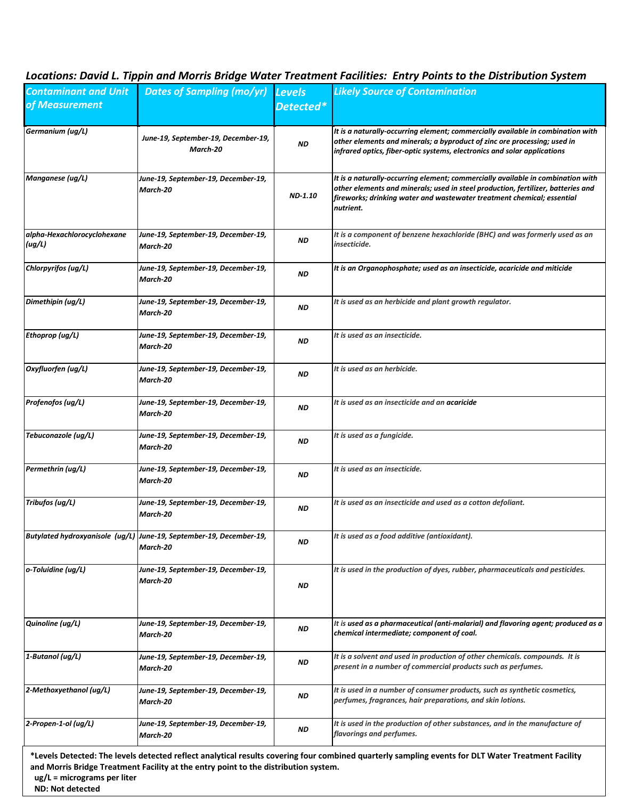## *Locations: David L. Tippin and Morris Bridge Water Treatment Facilities: Entry Points to the Distribution System*

| <b>Contaminant and Unit</b>                              | <b>Dates of Sampling (mo/yr) Levels</b>                                             |           | <b>Likely Source of Contamination</b>                                                                                                                                                                                                                      |
|----------------------------------------------------------|-------------------------------------------------------------------------------------|-----------|------------------------------------------------------------------------------------------------------------------------------------------------------------------------------------------------------------------------------------------------------------|
| of Measurement                                           |                                                                                     | Detected* |                                                                                                                                                                                                                                                            |
|                                                          |                                                                                     |           |                                                                                                                                                                                                                                                            |
| Germanium (ug/L)                                         | June-19, September-19, December-19,<br>March-20                                     | <b>ND</b> | It is a naturally-occurring element; commercially available in combination with<br>other elements and minerals; a byproduct of zinc ore processing; used in<br>infrared optics, fiber-optic systems, electronics and solar applications                    |
| Manganese (ug/L)                                         | June-19, September-19, December-19,<br>March-20                                     | ND-1.10   | It is a naturally-occurring element; commercially available in combination with<br>other elements and minerals; used in steel production, fertilizer, batteries and<br>fireworks; drinking water and wastewater treatment chemical; essential<br>nutrient. |
| alpha-Hexachlorocyclohexane<br>(ug/L)                    | June-19, September-19, December-19,<br>March-20                                     | <b>ND</b> | It is a component of benzene hexachloride (BHC) and was formerly used as an<br>insecticide.                                                                                                                                                                |
| Chlorpyrifos (ug/L)                                      | June-19, September-19, December-19,<br>March-20                                     | <b>ND</b> | It is an Organophosphate; used as an insecticide, acaricide and miticide                                                                                                                                                                                   |
| Dimethipin (ug/L)                                        | June-19, September-19, December-19,<br>March-20                                     | ND        | It is used as an herbicide and plant growth regulator.                                                                                                                                                                                                     |
| Ethoprop (ug/L)                                          | June-19, September-19, December-19,<br>March-20                                     | ND        | It is used as an insecticide.                                                                                                                                                                                                                              |
| Oxyfluorfen (ug/L)                                       | June-19, September-19, December-19,<br>March-20                                     | ND        | It is used as an herbicide.                                                                                                                                                                                                                                |
| Profenofos (ug/L)                                        | June-19, September-19, December-19,<br>March-20                                     | ND        | It is used as an insecticide and an acaricide                                                                                                                                                                                                              |
| Tebuconazole (ug/L)                                      | June-19, September-19, December-19,<br>March-20                                     | ND        | It is used as a fungicide.                                                                                                                                                                                                                                 |
| Permethrin (ug/L)                                        | June-19, September-19, December-19,<br>March-20                                     | ND        | It is used as an insecticide.                                                                                                                                                                                                                              |
| Tribufos (ug/L)                                          | June-19, September-19, December-19,<br>March-20                                     | ND        | It is used as an insecticide and used as a cotton defoliant.                                                                                                                                                                                               |
|                                                          | Butylated hydroxyanisole (ug/L) June-19, September-19, December-19,<br>March-20     | ND        | It is used as a food additive (antioxidant).                                                                                                                                                                                                               |
| o-Toluidine (ug/L)                                       | June-19, September-19, December-19,<br>March-20                                     | ND        | It is used in the production of dyes, rubber, pharmaceuticals and pesticides.                                                                                                                                                                              |
| Quinoline (ug/L)                                         | June-19, September-19, December-19,<br>March-20                                     | ND        | It is used as a pharmaceutical (anti-malarial) and flavoring agent; produced as a<br>chemical intermediate; component of coal.                                                                                                                             |
| 1-Butanol (ug/L)                                         | June-19, September-19, December-19,<br>March-20                                     | ND        | It is a solvent and used in production of other chemicals. compounds. It is<br>present in a number of commercial products such as perfumes.                                                                                                                |
| 2-Methoxyethanol (ug/L)                                  | June-19, September-19, December-19,<br>March-20                                     | ND        | It is used in a number of consumer products, such as synthetic cosmetics,<br>perfumes, fragrances, hair preparations, and skin lotions.                                                                                                                    |
| 2-Propen-1-ol (ug/L)                                     | June-19, September-19, December-19,<br>March-20                                     | <b>ND</b> | It is used in the production of other substances, and in the manufacture of<br>flavorings and perfumes.                                                                                                                                                    |
| $ug/L = micrograms$ per liter<br><b>ND: Not detected</b> | and Morris Bridge Treatment Facility at the entry point to the distribution system. |           | *Levels Detected: The levels detected reflect analytical results covering four combined quarterly sampling events for DLT Water Treatment Facility                                                                                                         |

 $\mathbf{I}$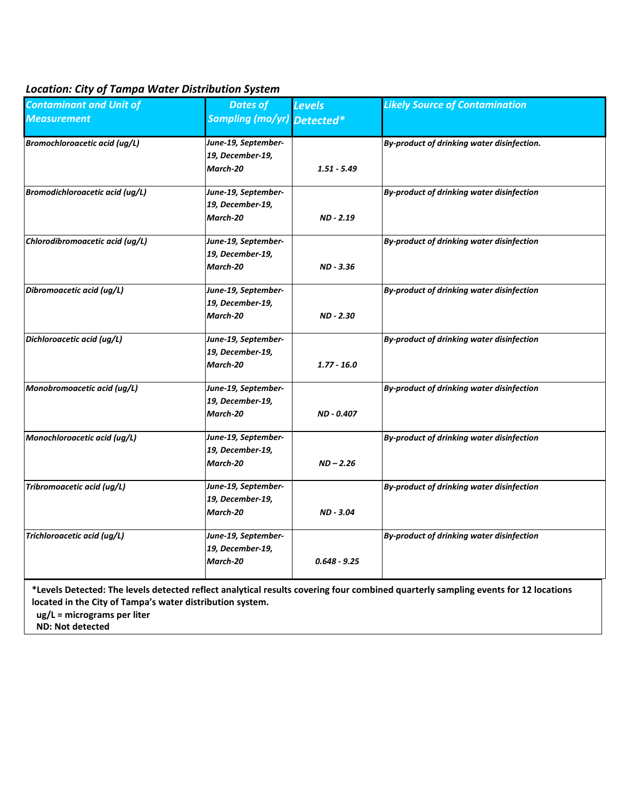## *Location: City of Tampa Water Distribution System*

| <b>Contaminant and Unit of</b>         | <b>Dates of</b>                                     | <b>Levels</b>  | <b>Likely Source of Contamination</b>            |
|----------------------------------------|-----------------------------------------------------|----------------|--------------------------------------------------|
| Measurement                            | Sampling (mo/yr) Detected*                          |                |                                                  |
| <b>Bromochloroacetic acid (ug/L)</b>   | June-19, September-<br>19, December-19,<br>March-20 | $1.51 - 5.49$  | By-product of drinking water disinfection.       |
| <b>Bromodichloroacetic acid (ug/L)</b> | June-19, September-<br>19, December-19,<br>March-20 | ND - 2.19      | By-product of drinking water disinfection        |
| Chlorodibromoacetic acid (ug/L)        | June-19, September-<br>19, December-19,<br>March-20 | ND - 3.36      | By-product of drinking water disinfection        |
| Dibromoacetic acid (ug/L)              | June-19, September-<br>19, December-19,<br>March-20 | ND - 2.30      | By-product of drinking water disinfection        |
| Dichloroacetic acid (ug/L)             | June-19, September-<br>19, December-19,<br>March-20 | $1.77 - 16.0$  | <b>By-product of drinking water disinfection</b> |
| Monobromoacetic acid (ug/L)            | June-19, September-<br>19, December-19,<br>March-20 | ND - 0.407     | By-product of drinking water disinfection        |
| Monochloroacetic acid (ug/L)           | June-19, September-<br>19, December-19,<br>March-20 | $ND - 2.26$    | By-product of drinking water disinfection        |
| Tribromoacetic acid (ug/L)             | June-19, September-<br>19, December-19,<br>March-20 | ND - 3.04      | By-product of drinking water disinfection        |
| Trichloroacetic acid (ug/L)            | June-19, September-<br>19, December-19,<br>March-20 | $0.648 - 9.25$ | By-product of drinking water disinfection        |

**\*Levels Detected: The levels detected reflect analytical results covering four combined quarterly sampling events for 12 locations located in the City of Tampa's water distribution system.** 

 **ug/L = micrograms per liter**

 **ND: Not detected**